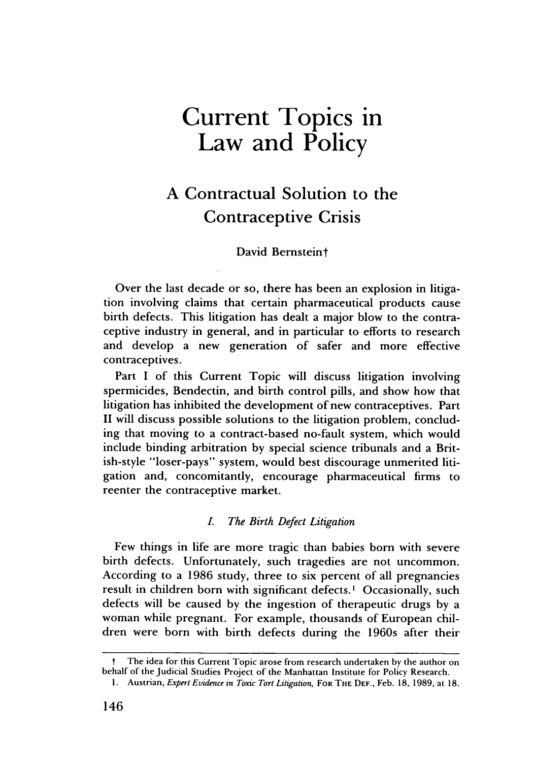# **Current Topics in Law and Policy**

# **A** Contractual Solution to the Contraceptive Crisis

# David Bernsteint

Over the last decade or so, there has been an explosion in litigation involving claims that certain pharmaceutical products cause birth defects. This litigation has dealt a major blow to the contraceptive industry in general, and in particular to efforts to research and develop a new generation of safer and more effective contraceptives.

Part I of this Current Topic will discuss litigation involving spermicides, Bendectin, and birth control pills, and show how that litigation has inhibited the development of new contraceptives. Part II will discuss possible solutions to the litigation problem, concluding that moving to a contract-based no-fault system, which would include binding arbitration by special science tribunals and a British-style "loser-pays" system, would best discourage unmerited litigation and, concomitantly, encourage pharmaceutical firms to reenter the contraceptive market.

## L *The Birth Defect Litigation*

Few things in life are more tragic than babies born with severe birth defects. Unfortunately, such tragedies are not uncommon. According to a 1986 study, three to six percent of all pregnancies result in children born with significant defects.' Occasionally, such defects will be caused by the ingestion of therapeutic drugs by a woman while pregnant. For example, thousands of European children were born with birth defects during the 1960s after their

t The idea for this Current Topic arose from research undertaken by the author on behalf of the Judicial Studies Project of the Manhattan Institute for Policy Research.

**<sup>1.</sup>** Austrian, *Expert Evidence in Toxic Tort Litigation,* FOR **THE DEF.,** Feb. 18, 1989, at 18.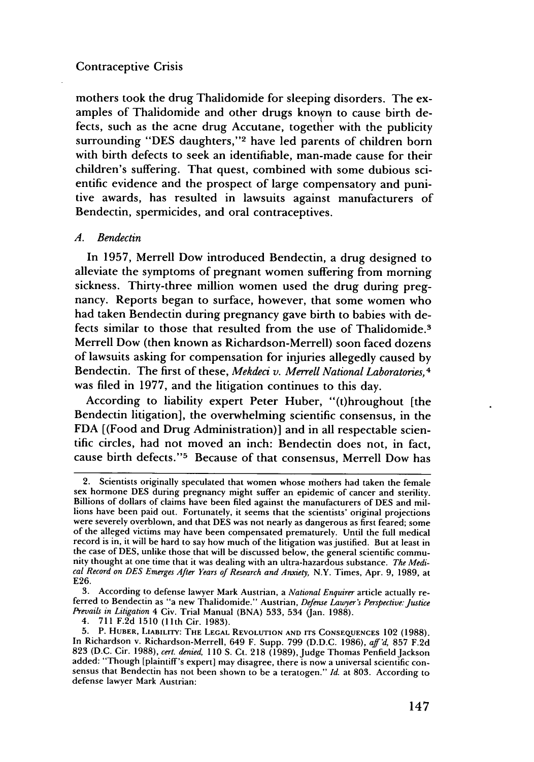mothers took the drug Thalidomide for sleeping disorders. The examples of Thalidomide and other drugs known to cause birth defects, such as the acne drug Accutane, together with the publicity surrounding "DES daughters,"<sup>2</sup> have led parents of children born with birth defects to seek an identifiable, man-made cause for their children's suffering. That quest, combined with some dubious scientific evidence and the prospect of large compensatory and punitive awards, has resulted in lawsuits against manufacturers of Bendectin, spermicides, and oral contraceptives.

#### *A. Bendectin*

In **1957,** Merrell Dow introduced Bendectin, a drug designed to alleviate the symptoms of pregnant women suffering from morning sickness. Thirty-three million women used the drug during pregnancy. Reports began to surface, however, that some women who had taken Bendectin during pregnancy gave birth to babies with defects similar to those that resulted from the use of Thalidomide.3 Merrell Dow (then known as Richardson-Merrell) soon faced dozens of lawsuits asking for compensation for injuries allegedly caused **by** Bendectin. The first of these, *Mekdeci v. Merrell National Laboratories,4* was filed in **1977,** and the litigation continues to this day.

According to liability expert Peter Huber, "(t)hroughout [the Bendectin litigation], the overwhelming scientific consensus, in the **FDA** [(Food and Drug Administration)] and in all respectable scientific circles, had not moved an inch: Bendectin does not, in fact, cause birth defects."<sup>5</sup> Because of that consensus, Merrell Dow has

<sup>2.</sup> Scientists originally speculated that women whose mothers had taken the female sex hormone DES during pregnancy might suffer an epidemic of cancer and sterility. Billions of dollars of claims have been filed against the manufacturers of **DES** and millions have been paid out. Fortunately, it seems that the scientists' original projections were severely overblown, and that DES was not nearly as dangerous as first feared; some of the alleged victims may have been compensated prematurely. Until the full medical record is in, it will be hard to say how much of the litigation was justified. But at least in the case of **DES,** unlike those that will be discussed below, the general scientific commu- nity thought at one time that it was dealing with an ultra-hazardous substance. *The Medical Record on DES Emerges After Years of Research and Anxiety,* N.Y. Times, Apr. 9, 1989, at E26.

<sup>3.</sup> According to defense lawyer Mark Austrian, a *National Enquirer* article actually referred to Bendectin as "a new Thalidomide." Austrian, *Defense Lawyer's Perspective: Justice Prevails in Litigation* 4 Civ. Trial Manual (BNA) 533, 534 (Jan. 1988).

<sup>4. 711</sup> F.2d 1510 **(11th** Cir. 1983).

<sup>5.</sup> P. HUBER, LIABILITY: THE **LEGAL** REVOLUTION **AND** ITS **CONSEQUENCES** 102 (1988). In Richardson v. Richardson-Merrell, 649 F. Supp. 799 (D.D.C. 1986), *aff'd,* 857 F.2d 823 (D.C. Cir. 1988), cert. denied, 110 S. Ct. 218 (1989), Judge Thomas Penfield Jackson added: "Though [plaintiff's expert] may disagree, there is now a universal scientific consensus that Bendectin has not been shown to be a teratogen." *Id.* at 803. According to defense lawyer Mark Austrian: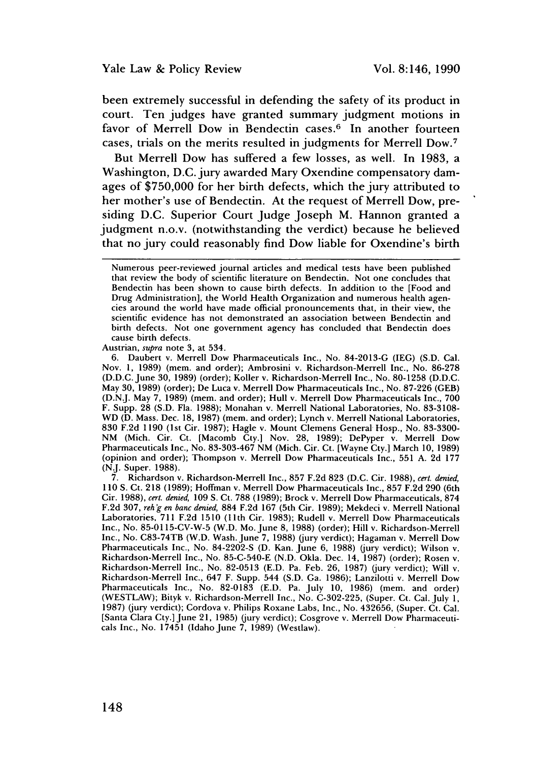been extremely successful in defending the safety of its product in court. Ten judges have granted summary judgment motions in favor of Merrell Dow in Bendectin cases.<sup>6</sup> In another fourteen cases, trials on the merits resulted in judgments for Merrell Dow. <sup>7</sup>

But Merrell Dow has suffered a few losses, as well. In 1983, a Washington, D.C. jury awarded Mary Oxendine compensatory damages of \$750,000 for her birth defects, which the jury attributed to her mother's use of Bendectin. At the request of Merrell Dow, presiding D.C. Superior Court Judge Joseph M. Hannon granted a judgment n.o.v. (notwithstanding the verdict) because he believed that no jury could reasonably find Dow liable for Oxendine's birth

Austrian, *supra* note 3, at 534.

7. Richardson v. Richardson-Merrell Inc., 857 F.2d 823 (D.C. Cir. 1988), *cert. denied,* 110 **S.** Ct. 218 (1989); Hoffman v. Merrell Dow Pharmaceuticals Inc., 857 F.2d 290 (6th Cir. 1988), *cert. denied,* 109 **S.** Ct. 788 (1989); Brock v. Merrell Dow Pharmaceuticals, 874 F.2d 307, reh *g en banc denied,* 884 F.2d 167 (5th Cir. 1989); Mekdeci v. Merrell National Laboratories, 711 F.2d 1510 **(11th** Cir. 1983); Rudell v. Merrell Dow Pharmaceuticals Inc., No. 85-0115-CV-W-5 (W.D. Mo. June 8, 1988) (order); Hill v. Richardson-Merrell Inc., No. C83-74TB (W.D. Wash. June 7, 1988) (jury verdict); Hagaman v. Merrell Dow Pharmaceuticals Inc., No. 84-2202-S (D. Kan. June 6, 1988) (jury verdict); Wilson v.<br>Richardson-Merrell Inc., No. 85-C-540-E (N.D. Okla. Dec. 14, 1987) (order); Rosen v.<br>Richardson-Merrell Inc., No. 82-0513 (E.D. Pa. Feb. Pharmaceuticals Inc., No. 82-0183 (E.D. Pa. July 10, 1986) (mem. and order) (WESTLAW); Bityk v. Richardson-Merrell Inc., No. C-302-225, (Super. Ct. Cal. July 1, 1987) (jury verdict); Cordova v. Philips Roxane Labs, Inc., No. 432656, (Super. Ct. Cal. [Santa Clara Cty.] June 21, 1985) (jury verdict); Cosgrove v. Merrell Dow Pharmaceuticals Inc., No. 17451 (Idaho June 7, 1989) (Westlaw).

Numerous peer-reviewed journal articles and medical tests have been published that review the body of scientific literature on Bendectin. Not one concludes that Bendectin has been shown to cause birth defects. In addition to the [Food and Drug Administration], the World Health Organization and numerous health agencies around the world have made official pronouncements that, in their view, the scientific evidence has not demonstrated an association between Bendectin and birth defects. Not one government agency has concluded that Bendectin does cause birth defects.

<sup>6.</sup> Daubert v. Merrell Dow Pharmaceuticals Inc., No. 84-2013-G (IEG) (S.D. Cal. Nov. 1, 1989) (mem. and order); Ambrosini v. Richardson-Merrell Inc., No. 86-278 (D.D.C. June 30, 1989) (order); Koller v. Richardson-Merrell Inc., No. 80-1258 (D.D.C. May 30, 1989) (order); De Luca v. Merrell Dow Pharmaceuticals Inc., No. 87-226 (GEB) (D.NJ. May 7, 1989) (mem. and order); Hull v. Merrell Dow Pharmaceuticals Inc., 700 F. Supp. 28 (S.D. Fla. 1988); Monahan v. Merrell National Laboratories, No. 83-3108- WD (D. Mass. Dec. 18, 1987) (mem. and order); Lynch v. Merrell National Laboratories, 830 F.2d 1190 (1st Cir. 1987); Hagle v. Mount Clemens General Hosp., No. 83-3300- NM (Mich. Cir. Ct. [Macomb Cty.] Nov. 28, 1989); DePyper v. Merrell Dow Pharmaceuticals Inc., No. 83-303-467 NM (Mich. Cir. Ct. [Wayne Cty.] March 10, 1989) (opinion and order); Thompson v. Merrell Dow Pharmaceuticals Inc., 551 A. 2d 177 (N.J. Super. 1988).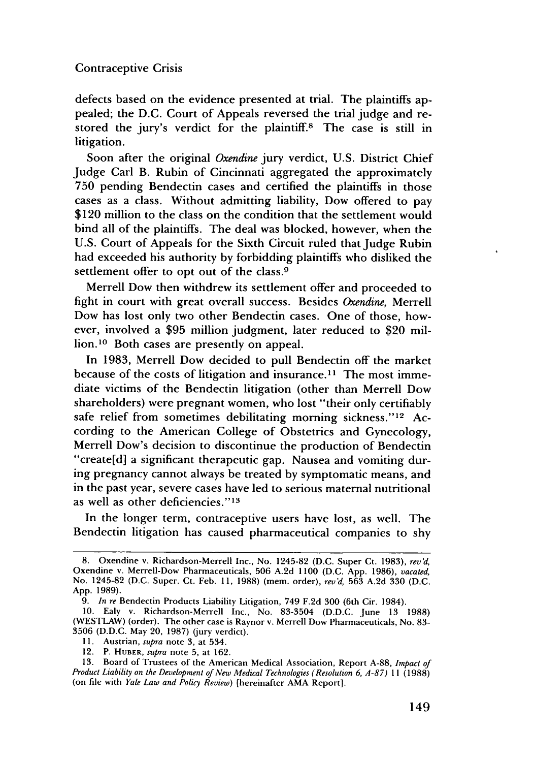defects based on the evidence presented at trial. The plaintiffs appealed; the D.C. Court of Appeals reversed the trial judge and restored the jury's verdict for the plaintiff.8 The case is still in litigation.

Soon after the original *Oxendine* jury verdict, U.S. District Chief Judge Carl B. Rubin of Cincinnati aggregated the approximately 750 pending Bendectin cases and certified the plaintiffs in those cases as a class. Without admitting liability, Dow offered to pay \$120 million to the class on the condition that the settlement would bind all of the plaintiffs. The deal was blocked, however, when the U.S. Court of Appeals for the Sixth Circuit ruled that Judge Rubin had exceeded his authority by forbidding plaintiffs who disliked the settlement offer to opt out of the class.<sup>9</sup>

Merrell Dow then withdrew its settlement offer and proceeded to fight in court with great overall success. Besides *Oxendine,* Merrell Dow has lost only two other Bendectin cases. One of those, however, involved a \$95 million judgment, later reduced to \$20 million. 10 Both cases are presently on appeal.

In 1983, Merrell Dow decided to pull Bendectin off the market because of the costs of litigation and insurance.<sup>11</sup> The most immediate victims of the Bendectin litigation (other than Merrell Dow shareholders) were pregnant women, who lost "their only certifiably safe relief from sometimes debilitating morning sickness."<sup>12</sup> According to the American College of Obstetrics and Gynecology, Merrell Dow's decision to discontinue the production of Bendectin "create[d] a significant therapeutic gap. Nausea and vomiting during pregnancy cannot always be treated by symptomatic means, and in the past year, severe cases have led to serious maternal nutritional as well as other deficiencies."<sup>13</sup>

In the longer term, contraceptive users have lost, as well. The Bendectin litigation has caused pharmaceutical companies to shy

<sup>8.</sup> Oxendine v. Richardson-Merrell Inc., No. 1245-82 (D.C. Super Ct. 1983), rev'd, Oxendine v. Merrell-Dow Pharmaceuticals, 506 A.2d 1100 (D.C. App. 1986), *vacated,* No. 1245-82 (D.C. Super. Ct. Feb. 11, 1988) (mem. order), *rev'd,* 563 A.2d 330 (D.C. App. 1989).

<sup>9.</sup> *In re* Bendectin Products Liability Litigation, 749 F.2d 300 (6th Cir. 1984).

<sup>10.</sup> Ealy v. Richardson-Merrell Inc., No. 83-3504 (D.D.C. June 13 1988) (WESTLAW) (order). The other case is Raynor v. Merrell Dow Pharmaceuticals, No. 83- 3506 (D.D.C. May 20, 1987) (jury verdict).

<sup>11.</sup> Austrian, *supra* note 3, at 534.

<sup>12.</sup> P. HUBER, *supra* note 5, at 162.

<sup>13.</sup> Board of Trustees of the American Medical Association, Report A-88, *Impact of Product Liability on the Development of New Medical Technologies (Resolution 6, A-87)* 11 (1988) (on file with *Yale Law and Policy Review)* [hereinafter AMA Report].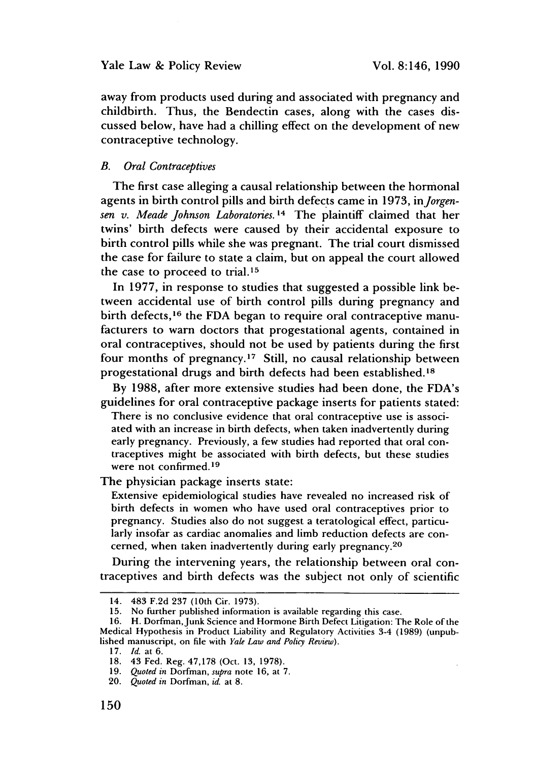#### Yale Law & Policy Review

away from products used during and associated with pregnancy and childbirth. Thus, the Bendectin cases, along with the cases discussed below, have had a chilling effect on the development of new contraceptive technology.

#### *B. Oral Contraceptives*

The first case alleging a causal relationship between the hormonal agents in birth control pills and birth defects came in 1973, *inJorgensen v. Meade Johnson Laboratories.* 14 The plaintiff claimed that her twins' birth defects were caused by their accidental exposure to birth control pills while she was pregnant. The trial court dismissed the case for failure to state a claim, but on appeal the court allowed the case to proceed to trial.1<sup>5</sup>

In 1977, in response to studies that suggested a possible link between accidental use of birth control pills during pregnancy and birth defects,<sup>16</sup> the FDA began to require oral contraceptive manufacturers to warn doctors that progestational agents, contained in oral contraceptives, should not be used by patients during the first four months of pregnancy.<sup>17</sup> Still, no causal relationship between progestational drugs and birth defects had been established.<sup>18</sup>

By 1988, after more extensive studies had been done, the FDA's guidelines for oral contraceptive package inserts for patients stated: There is no conclusive evidence that oral contraceptive use is associ-

ated with an increase in birth defects, when taken inadvertently during early pregnancy. Previously, a few studies had reported that oral contraceptives might be associated with birth defects, but these studies were not confirmed.<sup>19</sup>

The physician package inserts state:

Extensive epidemiological studies have revealed no increased risk of birth defects in women who have used oral contraceptives prior to pregnancy. Studies also do not suggest a teratological effect, particularly insofar as cardiac anomalies and limb reduction defects are concerned, when taken inadvertently during early pregnancy.<sup>20</sup>

During the intervening years, the relationship between oral contraceptives and birth defects was the subject not only of scientific

<sup>14. 483</sup> F.2d 237 (10th Cir. 1973).

<sup>15.</sup> No further published information is available regarding this case.

<sup>16.</sup> H. Dorfman, Junk Science and Hormone Birth Defect Litigation: The Role of the Medical Hypothesis in Product Liability and Regulatory Activities 3-4 (1989) (unpublished manuscript, on file with *Yale Law and Policy Review).*

<sup>17.</sup> *Id.* at 6.

<sup>18. 43</sup> Fed. Reg. 47,178 (Oct. 13, 1978).

<sup>19.</sup> *Quoted in* Dorfman, *supra* note 16, at 7.

<sup>20.</sup> *Quoted in* Dorfman, *id.* at 8.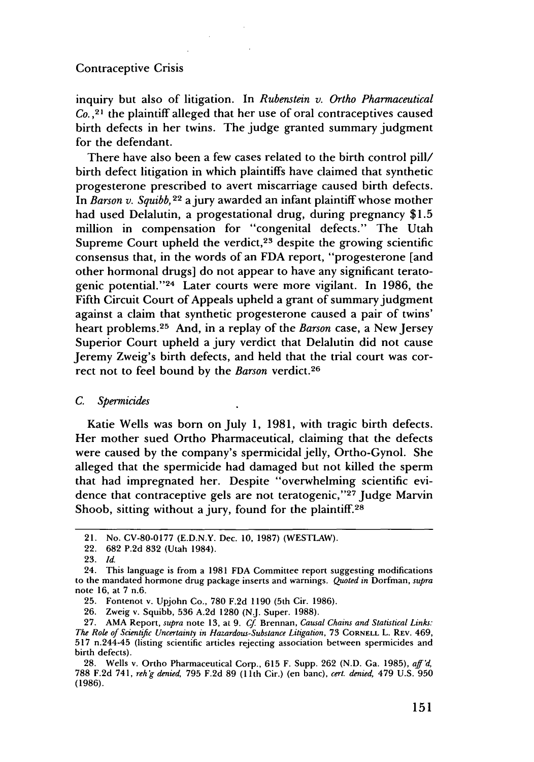inquiry but also of litigation. In *Rubenstein v. Ortho Pharmaceutical Co.,21* the plaintiff alleged that her use of oral contraceptives caused birth defects in her twins. The judge granted summary judgment for the defendant.

There have also been a few cases related to the birth control pill/ birth defect litigation in which plaintiffs have claimed that synthetic progesterone prescribed to avert miscarriage caused birth defects. In *Barson v. Squibb,* 22 a jury awarded an infant plaintiff whose mother had used Delalutin, a progestational drug, during pregnancy \$1.5 million in compensation for "congenital defects." The Utah Supreme Court upheld the verdict,<sup>23</sup> despite the growing scientific consensus that, in the words of an FDA report, "progesterone [and other hormonal drugs] do not appear to have any significant teratogenic potential."<sup>24</sup> Later courts were more vigilant. In 1986, the Fifth Circuit Court of Appeals upheld a grant of summary judgment against a claim that synthetic progesterone caused a pair of twins' heart problems. 25 And, in a replay of the *Barson* case, a New Jersey Superior Court upheld a jury verdict that Delalutin did not cause Jeremy Zweig's birth defects, and held that the trial court was correct not to feel bound by the *Barson* verdict. <sup>26</sup>

#### *C. Spermicides*

Katie Wells was born on July 1, 1981, with tragic birth defects. Her mother sued Ortho Pharmaceutical, claiming that the defects were caused by the company's spermicidal jelly, Ortho-Gynol. She alleged that the spermicide had damaged but not killed the sperm that had impregnated her. Despite "overwhelming scientific evidence that contraceptive gels are not teratogenic,"<sup>27</sup> Judge Marvin Shoob, sitting without a jury, found for the plaintiff.<sup>28</sup>

<sup>21.</sup> No. CV-80-0177 (E.D.N.Y. Dec. 10, 1987) (WESTLAW).

<sup>22. 682</sup> P.2d 832 (Utah 1984).

<sup>23.</sup> *Id.*

<sup>24.</sup> This language is from a 1981 FDA Committee report suggesting modifications to the mandated hormone drug package inserts and warnings. *Quoted in* Dorfman, *supra* note **16,** at 7 n.6.

<sup>25.</sup> Fontenot v. Upjohn Co., 780 F.2d 1190 (5th Cir. 1986).

<sup>26.</sup> Zweig v. Squibb, 536 A.2d 1280 (N.J. Super. 1988).

<sup>27.</sup> AMA Report, *supra* note 13, at 9. *Cf* Brennan, *Causal Chains and Statistical Links: The Role of Scientific Uncertainty in Hazardous-Substance Litigation,* 73 CORNELL L. REV. 469, 517 n.244-45 (listing scientific articles rejecting association between spermicides and birth defects).

<sup>28.</sup> Wells v. Ortho Pharmaceutical Corp., 615 F. Supp. 262 (N.D. Ga. 1985), *aff'd,* 788 F.2d 741, *reh'g denied,* 795 F.2d 89 **(11th** Cir.) (en banc), *cert. denied,* 479 U.S. 950 (1986).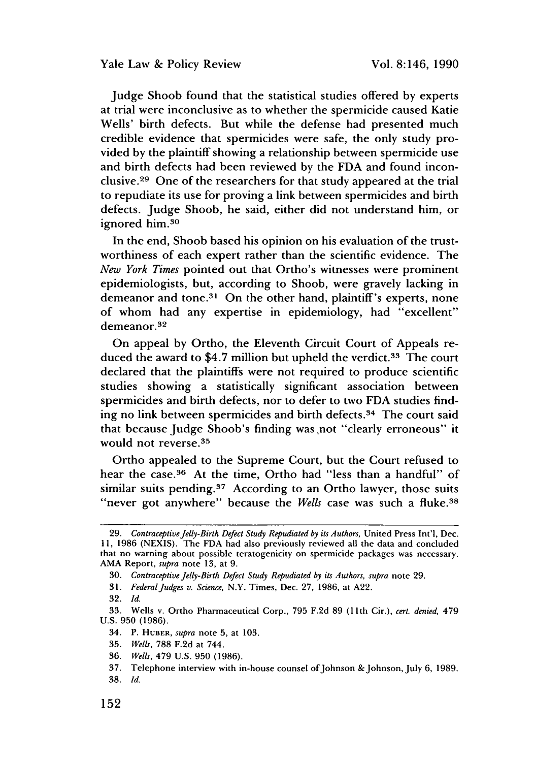Judge Shoob found that the statistical studies offered by experts at trial were inconclusive as to whether the spermicide caused Katie Wells' birth defects. But while the defense had presented much credible evidence that spermicides were safe, the only study provided by the plaintiff showing a relationship between spermicide use and birth defects had been reviewed by the FDA and found inconclusive. 29 One of the researchers for that study appeared at the trial to repudiate its use for proving a link between spermicides and birth defects. Judge Shoob, he said, either did not understand him, or ignored him.<sup>30</sup>

In the end, Shoob based his opinion on his evaluation of the trustworthiness of each expert rather than the scientific evidence. The *New York Times* pointed out that Ortho's witnesses were prominent epidemiologists, but, according to Shoob, were gravely lacking in demeanor and tone.<sup>31</sup> On the other hand, plaintiff's experts, none of whom had any expertise in epidemiology, had "excellent" demeanor.<sup>32</sup>

On appeal by Ortho, the Eleventh Circuit Court of Appeals reduced the award to \$4.7 million but upheld the verdict.<sup>33</sup> The court declared that the plaintiffs were not required to produce scientific studies showing a statistically significant association between spermicides and birth defects, nor to defer to two FDA studies finding no link between spermicides and birth defects.<sup>34</sup> The court said that because Judge Shoob's finding was not "clearly erroneous" it would not reverse.<sup>35</sup>

Ortho appealed to the Supreme Court, but the Court refused to hear the case.<sup>36</sup> At the time, Ortho had "less than a handful" of similar suits pending.<sup>37</sup> According to an Ortho lawyer, those suits "never got anywhere" because the *Wells* case was such a fluke.<sup>38</sup>

<sup>29.</sup> *Contraceptive Jelly-Birth Defect Study Repudiated by its Authors, United Press Int'l, Dec.* 11, 1986 (NEXIS). The FDA had also previously reviewed all the data and concluded that no warning about possible teratogenicity on spermicide packages was necessary. AMA Report, *supra* note 13, at 9.

<sup>30.</sup> *ContraceptiveJelly-Birth Defect Study Repudiated by its Authors, supra* note 29.

<sup>31.</sup> *Federal Judges v. Science,* N.Y. Times, Dec. 27, 1986, at A22.

<sup>32.</sup> Id.

<sup>33.</sup> Wells v. Ortho Pharmaceutical Corp., 795 F.2d 89 **(11th** Cir.), *cert. denied,* 479 U.S. 950 (1986).

<sup>34.</sup> P. HUBER, *supra* note 5, at 103.

<sup>35.</sup> *Wells,* 788 F.2d at 744.

<sup>36.</sup> *Wells,* 479 U.S. 950 (1986).

<sup>37.</sup> Telephone interview with in-house counsel of Johnson & Johnson, July 6, 1989.

**<sup>38.</sup>** *Id.*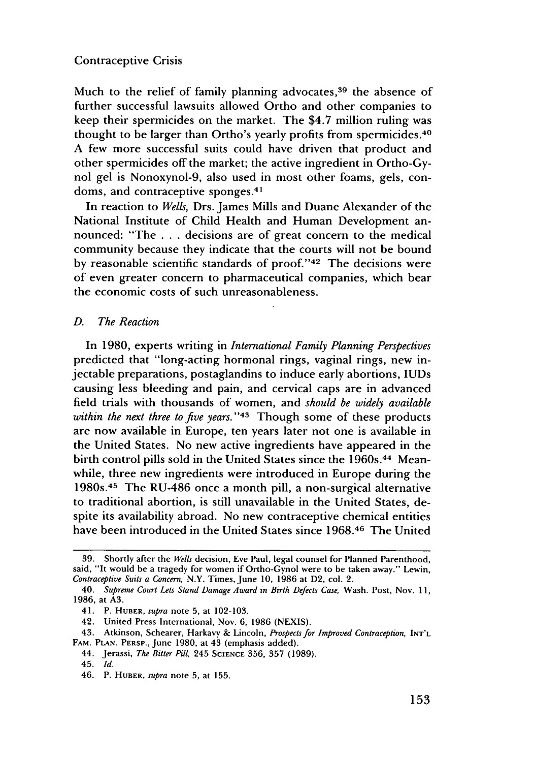Much to the relief of family planning advocates,<sup>39</sup> the absence of further successful lawsuits allowed Ortho and other companies to keep their spermicides on the market. The \$4.7 million ruling was thought to be larger than Ortho's yearly profits from spermicides. <sup>40</sup> A few more successful suits could have driven that product and other spermicides off the market; the active ingredient in Ortho-Gynol gel is Nonoxynol-9, also used in most other foams, gels, condoms, and contraceptive sponges.<sup>41</sup>

In reaction to *Wells,* Drs. James Mills and Duane Alexander of the National Institute of Child Health and Human Development announced: "The . . . decisions are of great concern to the medical community because they indicate that the courts will not be bound by reasonable scientific standards of proof."<sup>42</sup> The decisions were of even greater concern to pharmaceutical companies, which bear the economic costs of such unreasonableness.

#### *D. The Reaction*

In 1980, experts writing in *International Family Planning Perspectives* predicted that "long-acting hormonal rings, vaginal rings, new injectable preparations, postaglandins to induce early abortions, IUDs causing less bleeding and pain, and cervical caps are in advanced field trials with thousands of women, and *should be widely available within the next three to five years.* "<sup>43</sup> Though some of these products are now available in Europe, ten years later not one is available in the United States. No new active ingredients have appeared in the birth control pills sold in the United States since the 1960s.<sup>44</sup> Meanwhile, three new ingredients were introduced in Europe during the 1980s.<sup>45</sup> The RU-486 once a month pill, a non-surgical alternative to traditional abortion, is still unavailable in the United States, despite its availability abroad. No new contraceptive chemical entities have been introduced in the United States since 1968.46 The United

<sup>39.</sup> Shortly after the *Wells* decision, Eve Paul, legal counsel for Planned Parenthood, said, "It would be a tragedy for women if Ortho-Gynol were to be taken away." Lewin, *Contraceptive Suits a Concern,* N.Y. Times, June 10, 1986 at D2, col. 2.

<sup>40.</sup> *Supreme Court Lets Stand Damage Award in Birth Defects Case,* Wash. Post, Nov. 11, 1986, at A3.

<sup>41.</sup> P. **HUBER,** *supra* note 5, at 102-103.

<sup>42.</sup> United Press International, Nov. 6, 1986 (NEXIS).

<sup>43.</sup> Atkinson, Schearer, Harkavy & Lincoln, *Prospects for Improved Contraception,* **INT'L FAM. PLAN.** PERSP., June 1980, at 43 (emphasis added).

<sup>44.</sup> Jerassi, *The Bitter Pill,* 245 **SCIENCE** 356, 357 **(1989).**

<sup>45.</sup> *Id.*

<sup>46.</sup> P. **HUBER,** *supra* note 5, at 155.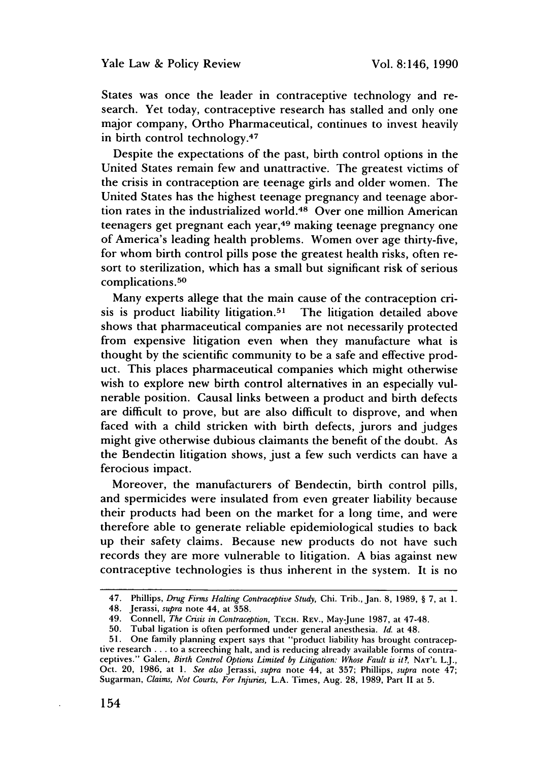States was once the leader in contraceptive technology and research. Yet today, contraceptive research has stalled and only one major company, Ortho Pharmaceutical, continues to invest heavily in birth control technology. <sup>47</sup>

Despite the expectations of the past, birth control options in the United States remain few and unattractive. The greatest victims of the crisis in contraception are teenage girls and older women. The United States has the highest teenage pregnancy and teenage abortion rates in the industrialized world. 48 Over one million American teenagers get pregnant each year,<sup>49</sup> making teenage pregnancy one of America's leading health problems. Women over age thirty-five, for whom birth control pills pose the greatest health risks, often resort to sterilization, which has a small but significant risk of serious complications. 50

Many experts allege that the main cause of the contraception crisis is product liability litigation.<sup>51</sup> The litigation detailed above shows that pharmaceutical companies are not necessarily protected from expensive litigation even when they manufacture what is thought by the scientific community to be a safe and effective product. This places pharmaceutical companies which might otherwise wish to explore new birth control alternatives in an especially vulnerable position. Causal links between a product and birth defects are difficult to prove, but are also difficult to disprove, and when faced with a child stricken with birth defects, jurors and judges might give otherwise dubious claimants the benefit of the doubt. As the Bendectin litigation shows, just a few such verdicts can have a ferocious impact.

Moreover, the manufacturers of Bendectin, birth control pills, and spermicides were insulated from even greater liability because their products had been on the market for a long time, and were therefore able to generate reliable epidemiological studies to back up their safety claims. Because new products do not have such records they are more vulnerable to litigation. A bias against new contraceptive technologies is thus inherent in the system. It is no

<sup>47.</sup> Phillips, *Drug Firms Halting Contraceptive Study,* Chi. Trib., Jan. 8, 1989, § 7, at 1.

<sup>48.</sup> Jerassi, *supra* note 44, at 358.

<sup>49.</sup> Connell, *The Crisis in Contraception,* **TECH.** REV., May-June 1987, at 47-48.

<sup>50.</sup> Tubal ligation is often performed under general anesthesia. *Id.* at 48.

<sup>51.</sup> One family planning expert says that "product liability has brought contraceptive research **...** to a screeching halt, and is reducing already available forms of contraceptives." Galen, *Birth Control Options Limited by Litigation: Whose Fault is it?,* **NAT'L** L.J., Oct. 20, 1986, at 1. See also Jerassi, *supra* note 44, at 357; Phillips, *supra* note 47; Sugarman, *Claims, Not Courts, For Injuries,* L.A. Times, Aug. 28, 1989, Part II at 5.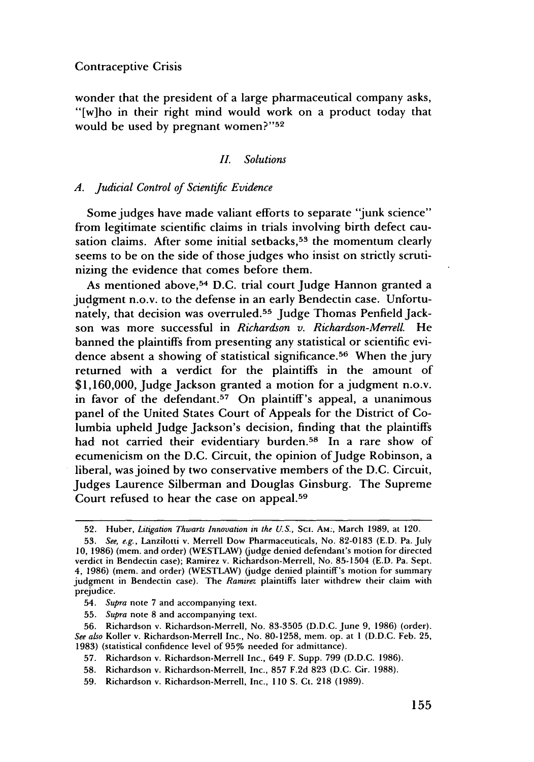wonder that the president of a large pharmaceutical company asks, "[w]ho in their right mind would work on a product today that would be used by pregnant women?"<sup>52</sup>

#### *II. Solutions*

## *A. Judicial Control of Scientific Evidence*

Some judges have made valiant efforts to separate **"junk** science" from legitimate scientific claims in trials involving birth defect causation claims. After some initial setbacks,<sup>53</sup> the momentum clearly seems to be on the side of those judges who insist on strictly scrutinizing the evidence that comes before them.

As mentioned above,<sup>54</sup> D.C. trial court Judge Hannon granted a judgment n.o.v. to the defense in an early Bendectin case. Unfortunately, that decision was overruled.<sup>55</sup> Judge Thomas Penfield Jackson was more successful in *Richardson v. Richardson-Merrell.* He banned the plaintiffs from presenting any statistical or scientific evidence absent a showing of statistical significance. 56 When the jury returned with a verdict for the plaintiffs in the amount of **\$1,160,000,** Judge Jackson granted a motion for a judgment n.o.v. in favor of the defendant.<sup>57</sup> On plaintiff's appeal, a unanimous panel of the United States Court of Appeals for the District of Columbia upheld Judge Jackson's decision, finding that the plaintiffs had not carried their evidentiary burden.<sup>58</sup> In a rare show of ecumenicism on the D.C. Circuit, the opinion of Judge Robinson, a liberal, was joined **by** two conservative members of the **D.C.** Circuit, Judges Laurence Silberman and Douglas Ginsburg. The Supreme Court refused to hear the case on appeal.<sup>59</sup>

- **57.** Richardson v. Richardson-Merrell Inc., 649 F. Supp. **799 (D.D.C. 1986).**
- **58.** Richardson v. Richardson-Merrell, Inc., **857 F.2d 823 (D.C.** Cir. **1988).**
- **59.** Richardson v. Richardson-Merrell, Inc., **110 S. Ct. 218 (1989).**

**<sup>52.</sup>** Huber, *Litigation Thwarts Innovation in the U.S.,* Sci. AM:, March **1989,** at 120.

**<sup>53.</sup>** *See, e.g.,* Lanzilotti v. Merrell Dow Pharmaceuticals, No. **82-0183 (E.D.** Pa. July **10, 1986)** (mem. and order) (WESTLAW) (judge denied defendant's motion for directed verdict in Bendectin case); Ramirez v. Richardson-Merrell, No. **85-1504 (E.D.** Pa. Sept. 4, **1986)** (mem. and order) (WESTLAW) (judge denied plaintiff's motion for summary judgment in Bendectin case). The *Ramirez* plaintiffs later withdrew their claim with prejudice.

<sup>54.</sup> *Supra* note **7** and accompanying **text.**

**<sup>55.</sup>** *Supra* note **8** and accompanying text.

**<sup>56.</sup>** Richardson v. Richardson-Merrell, No. **83-3505 (D.D.C.** June **9, 1986)** (order). *See also* Koller v. Richardson-Merrell Inc., No. **80-1258,** mem. op. at **I (D.D.C.** Feb. **25, 1983)** (statistical confidence level of **95%** needed for admittance).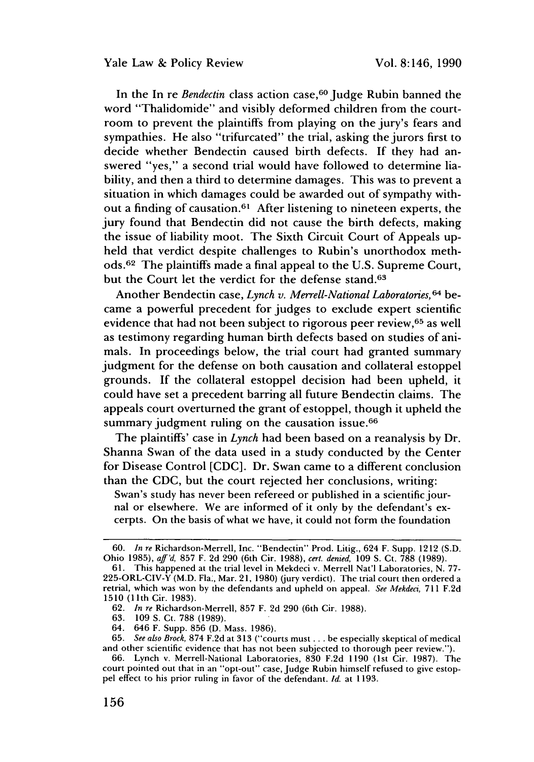In the In re *Bendectin* class action case,<sup>60</sup> Judge Rubin banned the word "Thalidomide" and visibly deformed children from the courtroom to prevent the plaintiffs from playing on the jury's fears and sympathies. He also "trifurcated" the trial, asking the jurors first to decide whether Bendectin caused birth defects. If they had answered "yes," a second trial would have followed to determine liability, and then a third to determine damages. This was to prevent a situation in which damages could be awarded out of sympathy without a finding of causation.<sup>61</sup> After listening to nineteen experts, the jury found that Bendectin did not cause the birth defects, making the issue of liability moot. The Sixth Circuit Court of Appeals upheld that verdict despite challenges to Rubin's unorthodox methods.<sup>62</sup> The plaintiffs made a final appeal to the U.S. Supreme Court, but the Court let the verdict for the defense stand.<sup>63</sup>

Another Bendectin case, *Lynch v. Merrell-National Laboratories, 64* became a powerful precedent for judges to exclude expert scientific evidence that had not been subject to rigorous peer review, 65 as well as testimony regarding human birth defects based on studies of animals. In proceedings below, the trial court had granted summary judgment for the defense on both causation and collateral estoppel grounds. If the collateral estoppel decision had been upheld, it could have set a precedent barring all future Bendectin claims. The appeals court overturned the grant of estoppel, though it upheld the summary judgment ruling on the causation issue.<sup>66</sup>

The plaintiffs' case in *Lynch* had been based on a reanalysis by Dr. Shanna Swan of the data used in a study conducted by the Center for Disease Control [CDC]. Dr. Swan came to a different conclusion than the CDC, but the court rejected her conclusions, writing:

Swan's study has never been refereed or published in a scientific journal or elsewhere. We are informed of it only by the defendant's excerpts. On the basis of what we have, it could not form the foundation

64. 646 F. Supp. 856 (D. Mass. 1986).

<sup>60.</sup> *In re* Richardson-Merrell, Inc. "Bendectin" Prod. Litig., 624 F. Supp. 1212 (S.D. Ohio 1985), af'd, 857 F. 2d 290 (6th Cir. **1988),** *cert. denied,* 109 S. Ct. 788 (1989).

<sup>61.</sup> This happened at the trial level in Mekdeci v. Merrell Nat'l Laboratories, N. 77-<br>225-ORL-CIV-Y (M.D. Fla., Mar. 21, 1980) (jury verdict). The trial court then ordered a retrial, which was won by the defendants and upheld on appeal. *See Mekdeci*, 711 F.2d 1510 **(11th** Cir. 1983).

<sup>62.</sup> *In re* Richardson-Merrell, 857 F. 2d 290 (6th Cir. 1988).

<sup>63. 109</sup> S. Ct. 788 (1989).

<sup>65.</sup> *See also Brock,* 874 F.2d at 313 ("courts must **...** be especially skeptical of medical and other scientific evidence that has not been subjected to thorough peer review.").

<sup>66.</sup> Lynch v. Merrell-National Laboratories, 830 F.2d 1190 (1st Cir. 1987). The court pointed out that in an "opt-out" case, Judge Rubin himself refused to give estoppel effect to his prior ruling in favor of the defendant. *Id.* at 1193.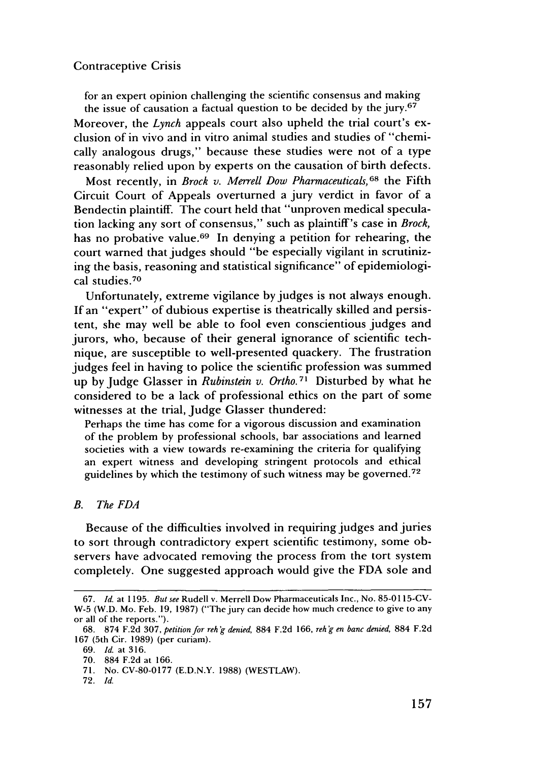for an expert opinion challenging the scientific consensus and making the issue of causation a factual question to be decided by the jury. $67$ 

Moreover, the *Lynch* appeals court also upheld the trial court's exclusion of in vivo and in vitro animal studies and studies of "chemically analogous drugs," because these studies were not of a type reasonably relied upon by experts on the causation of birth defects.

Most recently, in *Brock v. Merrell Dow Pharmaceuticals.*<sup>68</sup> the Fifth Circuit Court of Appeals overturned a jury verdict in favor of a Bendectin plaintiff. The court held that "unproven medical speculation lacking any sort of consensus," such as plaintiff's case in *Brock,* has no probative value.<sup>69</sup> In denying a petition for rehearing, the court warned that judges should "be especially vigilant in scrutinizing the basis, reasoning and statistical significance" of epidemiological studies. <sup>70</sup>

Unfortunately, extreme vigilance by judges is not always enough. If an "expert" of dubious expertise is theatrically skilled and persistent, she may well be able to fool even conscientious judges and jurors, who, because of their general ignorance of scientific technique, are susceptible to well-presented quackery. The frustration judges feel in having to police the scientific profession was summed up by Judge Glasser in *Rubinstein v. Ortho.*<sup>71</sup> Disturbed by what he considered to be a lack of professional ethics on the part of some witnesses at the trial, Judge Glasser thundered:

Perhaps the time has come for a vigorous discussion and examination of the problem by professional schools, bar associations and learned societies with a view towards re-examining the criteria for qualifying an expert witness and developing stringent protocols and ethical guidelines by which the testimony of such witness may be governed.<sup>72</sup>

#### *B. The FDA*

Because of the difficulties involved in requiring judges and juries to sort through contradictory expert scientific testimony, some observers have advocated removing the process from the tort system completely. One suggested approach would give the FDA sole and

<sup>67.</sup> *Id.* at 1195. *But see* Rudell v. Merrell Dow Pharmaceuticals Inc., No. 85-0115-CV-W-5 (W.D. Mo. Feb. 19, 1987) ("The jury can decide how much credence to give to any or all of the reports.").

<sup>68. 874</sup> F.2d 307, *petition for reh 'g denied,* 884 F.2d 166, *reh g en banc denied,* 884 F.2d 167 (5th Cir. 1989) (per curiam).

<sup>69.</sup> *Id.* at 316.

<sup>70. 884</sup> F.2d at 166.

<sup>71.</sup> No. CV-80-0177 (E.D.N.Y. 1988) (WESTLAW).

<sup>72.</sup> *Id.*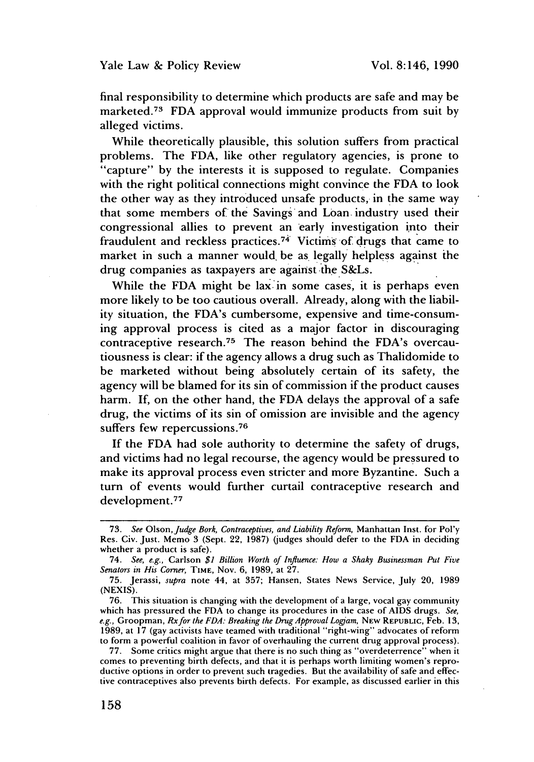final responsibility to determine which products are safe and may be marketed.<sup>73</sup> FDA approval would immunize products from suit by alleged victims.

While theoretically plausible, this solution suffers from practical problems. The FDA, like other regulatory agencies, is prone to "capture" by the interests it is supposed to regulate. Companies with the right political connections might convince the FDA to look the other way as they introduced unsafe products, in the same way that some members of the Savings and Loan. industry used their congressional allies to prevent an early investigation into their fraudulent and reckless practices.<sup>74</sup> Victims of drugs that came to market in such a manner would be as legally helpless against the drug companies as taxpayers are against the S&Ls.

While the FDA might be lax in some cases, it is perhaps even more likely to be too cautious overall. Already, along with the liability situation, the FDA's cumbersome, expensive and time-consuming approval process is cited as a major factor in discouraging contraceptive research.<sup>75</sup> The reason behind the FDA's overcautiousness is clear: if the agency allows a drug such as Thalidomide to be marketed without being absolutely certain of its safety, the agency will be blamed for its sin of commission if the product causes harm. If, on the other hand, the FDA delays the approval of a safe drug, the victims of its sin of omission are invisible and the agency suffers few repercussions.<sup>76</sup>

If the FDA had sole authority to determine the safety of drugs, and victims had no legal recourse, the agency would be pressured to make its approval process even stricter and more Byzantine. Such a turn of events would further curtail contraceptive research and development. <sup>77</sup>

<sup>73.</sup> *See Olson,Judge Bork, Contraceptives, and Liability Reform,* Manhattan Inst. for Pol'y Res. Civ. Just. Memo 3 (Sept. 22, 1987) (judges should defer to the FDA in deciding whether a product is safe).

<sup>74.</sup> *See, e.g.,* Carlson *\$1 Billion Worth of Influence: How a Shaky Businessman Put Five Senators in His Corner,* TIME, Nov. 6, 1989, at 27.

<sup>75.</sup> Jerassi, *supra* note 44, at 357; Hansen, States News Service, July 20, 1989 (NEXIS).

<sup>76.</sup> This situation is changing with the development of a large, vocal gay community which has pressured the FDA to change its procedures in the case of AIDS drugs. See, *e.g.,* Groopman, *Rxfor the FDA: Breaking the Drug Approval Loeam,* NEW **REPUBLIC,** Feb. 13, 1989, at 17 (gay activists have teamed with traditional "right-wing" advocates of reform to form a powerful coalition in favor of overhauling the current drug approval process).

<sup>77.</sup> Some critics might argue that there is no such thing as "overdeterrence" when it comes to preventing birth defects, and that it is perhaps worth limiting women's reproductive options in order to prevent such tragedies. But the availability of safe and effective contraceptives also prevents birth defects. For example, as discussed earlier in this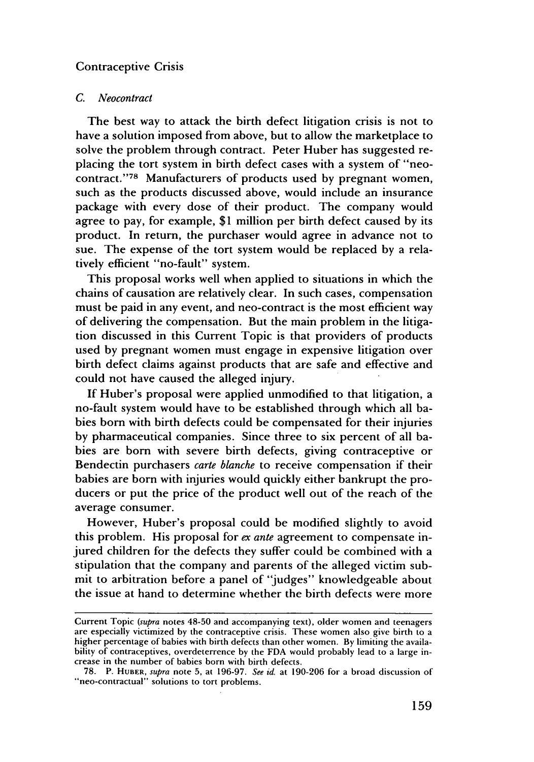#### *C. Neocontract*

The best way to attack the birth defect litigation crisis is not to have a solution imposed from above, but to allow the marketplace to solve the problem through contract. Peter Huber has suggested replacing the tort system in birth defect cases with a system of "neocontract."<sup>78</sup> Manufacturers of products used by pregnant women, such as the products discussed above, would include an insurance package with every dose of their product. The company would agree to pay, for example, \$1 million per birth defect caused by its product. In return, the purchaser would agree in advance not to sue. The expense of the tort system would be replaced by a relatively efficient "no-fault" system.

This proposal works well when applied to situations in which the chains of causation are relatively clear. In such cases, compensation must be paid in any event, and neo-contract is the most efficient way of delivering the compensation. But the main problem in the litigation discussed in this Current Topic is that providers of products used by pregnant women must engage in expensive litigation over birth defect claims against products that are safe and effective and could not have caused the alleged injury.

If Huber's proposal were applied unmodified to that litigation, a no-fault system would have to be established through which all babies born with birth defects could be compensated for their injuries by pharmaceutical companies. Since three to six percent of all babies are born with severe birth defects, giving contraceptive or Bendectin purchasers *carte blanche* to receive compensation if their babies are born with injuries would quickly either bankrupt the producers or put the price of the product well out of the reach of the average consumer.

However, Huber's proposal could be modified slightly to avoid this problem. His proposal for *ex ante* agreement to compensate injured children for the defects they suffer could be combined with a stipulation that the company and parents of the alleged victim submit to arbitration before a panel of "judges" knowledgeable about the issue at hand to determine whether the birth defects were more

Current Topic *(supra* notes 48-50 and accompanying text), older women and teenagers are especially victimized by the contraceptive crisis. These women also give birth to a higher percentage of babies with birth defects than other women. By limiting the availability of contraceptives, overdeterrence by the FDA would probably lead to a large increase in the number of babies born with birth defects.

<sup>78.</sup> P. HUBER, *supra* note 5, at 196-97. *See* id. at 190-206 for a broad discussion of "neo-contractual" solutions to tort problems.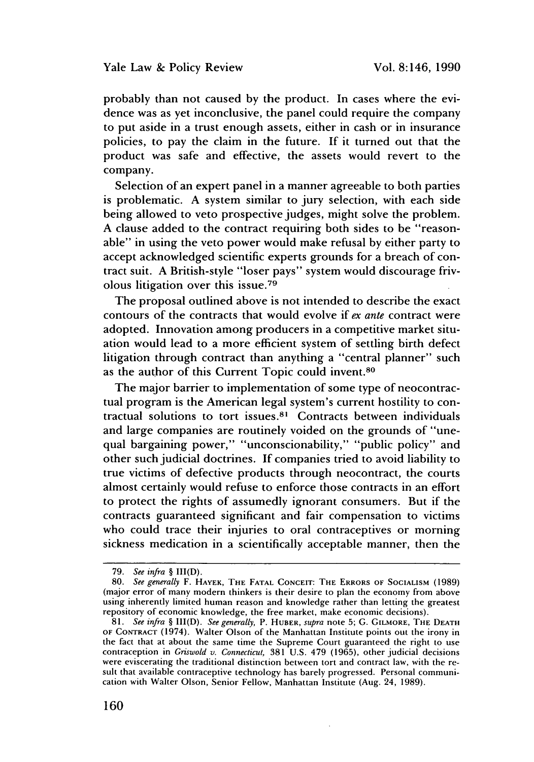probably than not caused by the product. In cases where the evidence was as yet inconclusive, the panel could require the company to put aside in a trust enough assets, either in cash or in insurance policies, to pay the claim in the future. If it turned out that the product was safe and effective, the assets would revert to the company.

Selection of an expert panel in a manner agreeable to both parties is problematic. A system similar to jury selection, with each side being allowed to veto prospective judges, might solve the problem. A clause added to the contract requiring both sides to be "reasonable" in using the veto power would make refusal by either party to accept acknowledged scientific experts grounds for a breach of contract suit. A British-style "loser pays" system would discourage frivolous litigation over this issue. <sup>79</sup>

The proposal outlined above is not intended to describe the exact contours of the contracts that would evolve if *ex ante* contract were adopted. Innovation among producers in a competitive market situation would lead to a more efficient system of settling birth defect litigation through contract than anything a "central planner" such as the author of this Current Topic could invent.80

The major barrier to implementation of some type of neocontractual program is the American legal system's current hostility to contractual solutions to tort issues.8' Contracts between individuals and large companies are routinely voided on the grounds of "unequal bargaining power," "unconscionability," "public policy" and other such judicial doctrines. If companies tried to avoid liability to true victims of defective products through neocontract, the courts almost certainly would refuse to enforce those contracts in an effort to protect the rights of assumedly ignorant consumers. But if the contracts guaranteed significant and fair compensation to victims who could trace their injuries to oral contraceptives or morning sickness medication in a scientifically acceptable manner, then the

<sup>79.</sup> *See infra §* **III(D).**

**<sup>80.</sup>** *See generally* F. HAYEK, THE **FATAL CONCEIT:** THE ERRORS **OF SOCIALISM (1989)** (major error of many modern thinkers is their desire to plan the economy from above using inherently limited human reason and knowledge rather than letting the greatest repository of economic knowledge, the free market, make economic decisions).

**<sup>81.</sup>** *See infra § III(D). See generally,* P. HUBER, *supra* note 5; G. GILMORE, THE **DEATH** OF **CONTRACT** (1974). Walter Olson of the Manhattan Institute points out the irony in the fact that at about the same time the Supreme Court guaranteed the right to use contraception in *Griswold v. Connecticut,* 381 U.S. 479 (1965), other judicial decisions were eviscerating the traditional distinction between tort and contract law, with the result that available contraceptive technology has barely progressed. Personal communication with Walter Olson, Senior Fellow, Manhattan Institute (Aug. 24, 1989).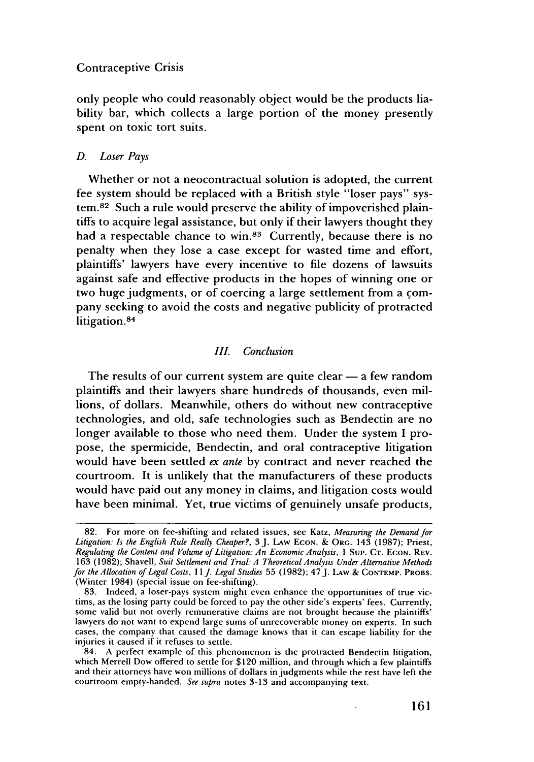only people who could reasonably object would be the products liability bar, which collects a large portion of the money presently spent on toxic tort suits.

#### *D. Loser Pays*

Whether or not a neocontractual solution is adopted, the current fee system should be replaced with a British style "loser pays" system.<sup>82</sup> Such a rule would preserve the ability of impoverished plaintiffs to acquire legal assistance, but only if their lawyers thought they had a respectable chance to win.<sup>83</sup> Currently, because there is no penalty when they lose a case except for wasted time and effort, plaintiffs' lawyers have every incentive to file dozens of lawsuits against safe and effective products in the hopes of winning one or two huge judgments, or of coercing a large settlement from a company seeking to avoid the costs and negative publicity of protracted litigation.<sup>84</sup>

#### *III. Conclusion*

The results of our current system are quite clear **-** a few random plaintiffs and their lawyers share hundreds of thousands, even millions, of dollars. Meanwhile, others do without new contraceptive technologies, and old, safe technologies such as Bendectin are no longer available to those who need them. Under the system **I** propose, the spermicide, Bendectin, and oral contraceptive litigation would have been settled *ex ante* **by** contract and never reached the courtroom. It is unlikely that the manufacturers of these products would have paid out any money in claims, and litigation costs would have been minimal. Yet, true victims of genuinely unsafe products,

**<sup>82.</sup>** For more on fee-shifting and related issues, see Katz, *Measuring the Demand for Litigation: Is the English Rule Really Cheaper?,* **3 J. LAw EcON. &** ORG. 143 **(1987);** Priest, *Regulating the Content and Volume of Litigation: An Economic Analysis, I* **SuP. CT.** EcON. REV. **163 (1982);** Shavell, *Suit Settlement and Trial: A Theoretical Analysis Under Alternative Methods for the Allocation of Legal Costs, 11. Legal Studies* **55 (1982); 47J. LAw & CONTEMP. PROBS.** (Winter 1984) (special issue on fee-shifting).

**<sup>83.</sup>** Indeed, a loser-pays system might even enhance the opportunities of true victims, as the losing party could be forced to pay the other side's experts' fees. Currently, some valid but not overly remunerative claims are not brought because the plaintiffs' lawyers do not want to expend large sums of unrecoverable money on experts. In such cases, the company that caused the damage knows that it can escape liability for the injuries it caused if it refuses to settle.

<sup>84.</sup> **A** perfect **example** of this phenomenon is the protracted Bendectin litigation, which Merrell Dow offered to settle for \$120 million, and through which a few plaintiffs and their attorneys have won millions of dollars in judgments while the rest have left the courtroom empty-handed. *See supra* notes **3-13** and accompanying text.